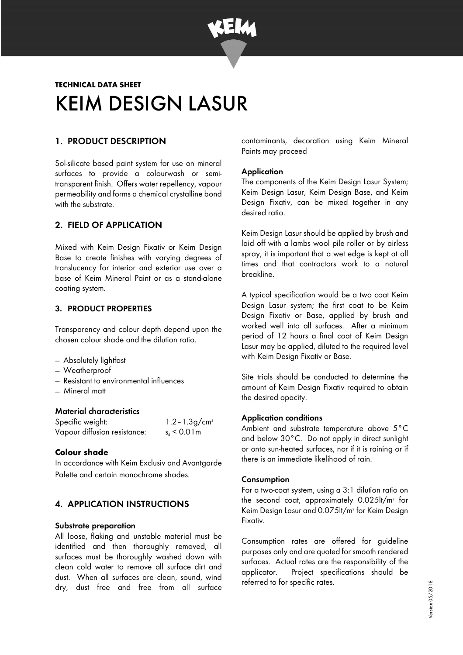

# **TECHNICAL DATA SHEET**  KEIM DESIGN LASUR

# 1. PRODUCT DESCRIPTION

Sol-silicate based paint system for use on mineral surfaces to provide a colourwash or semitransparent finish. Offers water repellency, vapour permeability and forms a chemical crystalline bond with the substrate.

# 2. FIELD OF APPLICATION

Mixed with Keim Design Fixativ or Keim Design Base to create finishes with varying degrees of translucency for interior and exterior use over a base of Keim Mineral Paint or as a stand-alone coating system.

### 3. PRODUCT PROPERTIES

Transparency and colour depth depend upon the chosen colour shade and the dilution ratio.

- − Absolutely lightfast
- − Weatherproof
- − Resistant to environmental influences
- − Mineral matt

#### Material characteristics

| Specific weight:             | $1.2 - 1.3$ g/cm <sup>3</sup> |
|------------------------------|-------------------------------|
| Vapour diffusion resistance: | $s_4$ < 0.01 m                |

#### **Colour shade**

In accordance with Keim Exclusiv and Avantgarde Palette and certain monochrome shades.

# 4. APPLICATION INSTRUCTIONS

#### Substrate preparation

All loose, flaking and unstable material must be identified and then thoroughly removed, all surfaces must be thoroughly washed down with clean cold water to remove all surface dirt and dust. When all surfaces are clean, sound, wind dry, dust free and free from all surface

contaminants, decoration using Keim Mineral Paints may proceed

#### **Application**

The components of the Keim Design Lasur System; Keim Design Lasur, Keim Design Base, and Keim Design Fixativ, can be mixed together in any desired ratio.

Keim Design Lasur should be applied by brush and laid off with a lambs wool pile roller or by airless spray, it is important that a wet edge is kept at all times and that contractors work to a natural breakline.

A typical specification would be a two coat Keim Design Lasur system; the first coat to be Keim Design Fixativ or Base, applied by brush and worked well into all surfaces. After a minimum period of 12 hours a final coat of Keim Design Lasur may be applied, diluted to the required level with Keim Design Fixativ or Base.

Site trials should be conducted to determine the amount of Keim Design Fixativ required to obtain the desired opacity.

#### Application conditions

Ambient and substrate temperature above 5°C and below 30°C. Do not apply in direct sunlight or onto sun-heated surfaces, nor if it is raining or if there is an immediate likelihood of rain.

#### Consumption

For a two-coat system, using a 3:1 dilution ratio on the second coat, approximately 0.025lt/m<sup>2</sup> for Keim Design Lasur and 0.075lt/m<sup>2</sup> for Keim Design Fixativ.

Consumption rates are offered for guideline purposes only and are quoted for smooth rendered surfaces. Actual rates are the responsibility of the applicator. Project specifications should be referred to for specific rates.